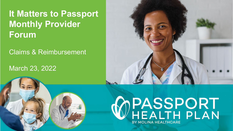### **It Matters to Passport Monthly Provider Forum**

Claims & Reimbursement

#### March 23, 2022



# WPASSPORT<br>WHEALTH PLAN BY MOLINA HEALTHCARE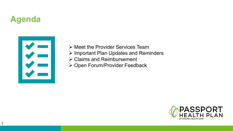### **Agenda**



- $\triangleright$  [Meet the Provider Services Team](#page-2-0)
- **▶ [Important Plan Updates and Reminders](#page-3-0)**
- **▶ [Claims and Reimbursement](#page-9-0)**
- ▶ [Open Forum/Provider Feedback](#page-16-0)

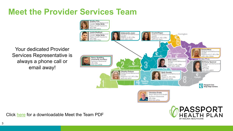### <span id="page-2-0"></span>**Meet the Provider Services Team**

Your dedicated Provider Services Representative is always a phone call or email away!





Click [here](https://www.molinahealthcare.com/-/media/Molina/PublicWebsite/PDF/Providers/ky/medicaid/MeetTheTeam.pdf) for a downloadable Meet the Team PDF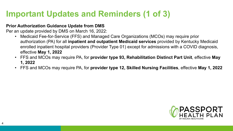### <span id="page-3-0"></span>**Important Updates and Reminders (1 of 3)**

#### **Prior Authorization Guidance Update from DMS**

Per an update provided by DMS on March 16, 2022:

- Medicaid Fee-for-Service (FFS) and Managed Care Organizations (MCOs) may require prior authorization (PA) for all **inpatient and outpatient Medicaid services** provided by Kentucky Medicaid enrolled inpatient hospital providers (Provider Type 01) except for admissions with a COVID diagnosis, effective **May 1, 2022**
- FFS and MCOs may require PA, for **provider type 93, Rehabilitation Distinct Part Unit**, effective **May 1, 2022**
- FFS and MCOs may require PA, for **provider type 12, Skilled Nursing Facilities**, effective **May 1, 2022**

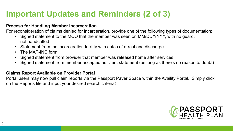### **Important Updates and Reminders (2 of 3)**

#### **Process for Handling Member Incarceration**

For reconsideration of claims denied for incarceration, provide one of the following types of documentation:

- Signed statement to the MCO that the member was seen on MM/DD/YYYY, with no guard, not handcuffed
- Statement from the incarceration facility with dates of arrest and discharge
- The MAP-INC form
- Signed statement from provider that member was released home after services
- Signed statement from member accepted as client statement (as long as there's no reason to doubt)

#### **Claims Report Available on Provider Portal**

Portal users may now pull claim reports via the Passport Payer Space within the Availity Portal. Simply click on the Reports tile and input your desired search criteria!

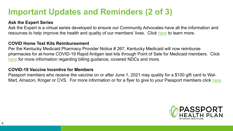#### **Important Updates and Reminders (2 of 3)**

#### **Ask the Expert Series**

Ask the Expert is a virtual series developed to ensure our Community Advocates have all the information and resources to help improve the health and quality of our members' lives. Click [here](https://www.molinahealthcare.com/members/ky/en-us/brokers/ask-experts2.aspx) to learn more.

#### **COVID Home Test Kits Reimbursement**

Per the Kentucky Medicaid Pharmacy Provider Notice # 267, Kentucky Medicaid will now reimburse pharmacies for at-home COVID-19 Rapid Antigen test kits through Point of Sale for Medicaid members. Click [here](https://www.molinahealthcare.com/providers/ky/medicaid/comm/newsarticlepage.aspx?ArticleID=111&lob=&type=IsNewsMediaSpecial&year=All&State=ALL&ArticlePageLink=/providers/ky/medicaid/comm/newsarticlepage.aspx) for more information regarding billing guidance, covered NDCs and more.

#### **COVID-19 Vaccine Incentive for Members**

Passport members who receive the vaccine on or after June 1, 2021 may quality for a \$100 gift card to WalMart, Amazon, Kroger or CVS. For more information or for a flyer to give to your Passport members click [here](https://www.molinahealthcare.com/members/ky/en-us/-/media/Molina/PublicWebsite/PDF/members/ky/en-us/Medicaid/Flyer_MolinaKY680MMBR04987VaccineIncentivePassport_R.pdf).

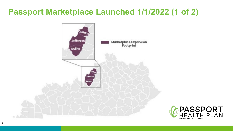### **Passport Marketplace Launched 1/1/2022 (1 of 2)**



7

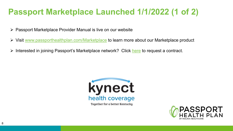### **Passport Marketplace Launched 1/1/2022 (1 of 2)**

- $\triangleright$  Passport Marketplace Provider Manual is live on our website
- Visit [www.passporthealthplan.com/Marketplace](http://www.passporthealthplan.com/Marketplace) to learn more about our Marketplace product
- $\triangleright$  Interested in joining Passport's Marketplace network? Click [here](https://www.molinahealthcare.com/-/media/Molina/PublicWebsite/PDF/Providers/ky/medicaid/ProviderContractRequestForm.pdf) to request a contract.



Together for a better Kentucky

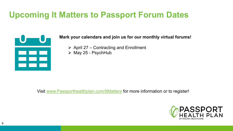### **Upcoming It Matters to Passport Forum Dates**



**Mark your calendars and join us for our monthly virtual forums!** 

- $\triangleright$  April 27 Contracting and Enrollment
- $\triangleright$  May 25 PsychHub

Visit [www.Passporthealthplan.com/ItMatters](http://www.passporthealthplan.com/ItMatters) for more information or to register!

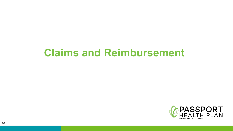## <span id="page-9-0"></span>**Claims and Reimbursement**

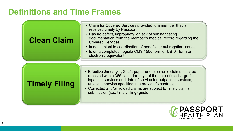#### **Definitions and Time Frames**

| <b>Clean Claim</b> | • Claim for Covered Services provided to a member that is<br>received timely by Passport<br>• Has no defect, impropriety, or lack of substantiating<br>documentation from the member's medical record regarding the<br><b>Covered Services,</b><br>• Is not subject to coordination of benefits or subrogation issues<br>• Is on a completed, legible CMS 1500 form or UB-04 form or<br>electronic equivalent |
|--------------------|---------------------------------------------------------------------------------------------------------------------------------------------------------------------------------------------------------------------------------------------------------------------------------------------------------------------------------------------------------------------------------------------------------------|
|                    |                                                                                                                                                                                                                                                                                                                                                                                                               |

#### **Timely Filing**

- Effective January 1, 2021, paper and electronic claims must be received within 365 calendar days of the date of discharge for inpatient services and date of service for outpatient services, unless otherwise specified in a provider's contract.
- Corrected and/or voided claims are subject to timely claims submission (i.e., timely filing) guide

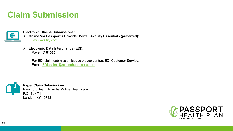#### **Claim Submission**

**Electronic Claims Submissions:**

- **Online Via Passport's Provider Portal, Availity Essentials (preferred):** [www.availity.com](http://www.availity.com/)
- **Electronic Data Interchange (EDI):**  Payer ID **61325**

For EDI claim submission issues please contact EDI Customer Service: Email: [EDI.claims@molinahealthcare.com](mailto:EDI.claims@molinahealthcare.com)



∰

**Paper Claim Submissions:** Passport Health Plan by Molina Healthcare P.O. Box 7114 London, KY 40742

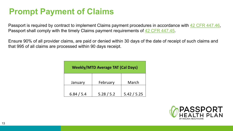### **Prompt Payment of Claims**

Passport is required by contract to implement Claims payment procedures in accordance with [42 CFR 447.46](https://www.law.cornell.edu/cfr/text/42/447.46), Passport shall comply with the timely Claims payment requirements of [42 CFR 447.45](https://www.law.cornell.edu/cfr/text/42/447.45).

Ensure 90% of all provider claims, are paid or denied within 30 days of the date of receipt of such claims and that 995 of all claims are processed within 90 days receipt.

| <b>Weekly/MTD Average TAT (Cal Days)</b> |            |             |  |
|------------------------------------------|------------|-------------|--|
| January                                  | February   | March       |  |
| 6.84 / 5.4                               | 5.28 / 5.2 | 5.42 / 5.25 |  |

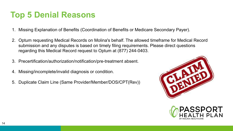#### **Top 5 Denial Reasons**

- 1. Missing Explanation of Benefits (Coordination of Benefits or Medicare Secondary Payer).
- 2. Optum requesting Medical Records on Molina's behalf. The allowed timeframe for Medical Record submission and any disputes is based on timely filing requirements. Please direct questions regarding this Medical Record request to Optum at (877) 244-0403.
- 3. Precertification/authorization/notification/pre-treatment absent.
- 4. Missing/incomplete/invalid diagnosis or condition.
- 5. Duplicate Claim Line (Same Provider/Member/DOS/CPT(Rev))



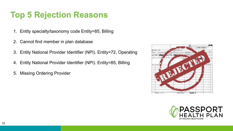#### **Top 5 Rejection Reasons**

- 1. Entity specialty/taxonomy code Entity=85, Billing
- 2. Cannot find member in plan database
- 3. Entity National Provider Identifier (NPI). Entity=72, Operating
- 4. Entity National Provider Identifier (NPI). Entity=85, Billing
- 5. Missing Ordering Provider



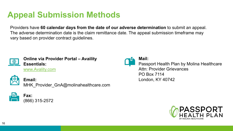### **Appeal Submission Methods**

Providers have **60 calendar days from the date of our adverse determination** to submit an appeal. The adverse determination date is the claim remittance date. The appeal submission timeframe may vary based on provider contract guidelines.



**Online via Provider Portal – Availity Essentials:**  [www.Avality.com](http://www.availity.com/)



**Email:**  MHK Provider GnA@molinahealthcare.com



**Fax:**  (866) 315-2572



**Mail:** 

Passport Health Plan by Molina Healthcare Attn: Provider Grievances PO Box 7114 London, KY 40742

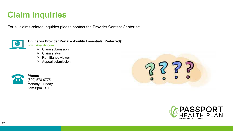### <span id="page-16-0"></span>**Claim Inquiries**

For all claims-related inquiries please contact the Provider Contact Center at:



**Online via Provider Portal – Availity Essentials (Preferred):** 

[www.Availity.com](http://www.availity.com/)

- $\triangleright$  Claim submission
- $\triangleright$  Claim status
- $\triangleright$  Remittance viewer
- $\triangleright$  Appeal submission



**Phone:**  (800) 578-0775 Monday – Friday 8am-6pm EST